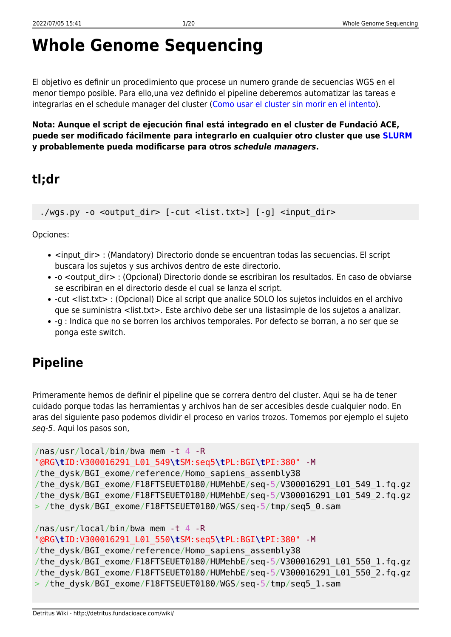# **Whole Genome Sequencing**

El objetivo es definir un procedimiento que procese un numero grande de secuencias WGS en el menor tiempo posible. Para ello,una vez definido el pipeline deberemos automatizar las tareas e integrarlas en el schedule manager del cluster ([Como usar el cluster sin morir en el intento\)](http://detritus.fundacioace.com/wiki/doku.php?id=cluster).

**Nota: Aunque el script de ejecución final está integrado en el cluster de Fundació ACE, puede ser modificado fácilmente para integrarlo en cualquier otro cluster que use [SLURM](https://slurm.schedmd.com/) y probablemente pueda modificarse para otros** *schedule managers***.**

## **tl;dr**

./wgs.py -o <output dir> [-cut <list.txt>] [-g] <input dir>

Opciones:

- <input dir> : (Mandatory) Directorio donde se encuentran todas las secuencias. El script buscara los sujetos y sus archivos dentro de este directorio.
- -o <output dir> : (Opcional) Directorio donde se escribiran los resultados. En caso de obviarse se escribiran en el directorio desde el cual se lanza el script.
- -cut <list.txt> : (Opcional) Dice al script que analice SOLO los sujetos incluidos en el archivo que se suministra <list.txt>. Este archivo debe ser una listasimple de los sujetos a analizar.
- -g : Indica que no se borren los archivos temporales. Por defecto se borran, a no ser que se ponga este switch.

## **Pipeline**

Primeramente hemos de definir el pipeline que se correra dentro del cluster. Aqui se ha de tener cuidado porque todas las herramientas y archivos han de ser accesibles desde cualquier nodo. En aras del siguiente paso podemos dividir el proceso en varios trozos. Tomemos por ejemplo el sujeto seq-5. Aqui los pasos son,

```
/nas/usr/local/bin/bwa mem -t 4 -R
"@RG\tID:V300016291_L01_549\tSM:seq5\tPL:BGI\tPI:380" -M
/the dysk/BGI exome/reference/Homo sapiens assembly38
/the_dysk/BGI_exome/F18FTSEUET0180/HUMehbE/seq-5/V300016291_L01_549_1.fq.gz
/the_dysk/BGI_exome/F18FTSEUET0180/HUMehbE/seq-5/V300016291_L01_549_2.fq.gz
> /the_dysk/BGI_exome/F18FTSEUET0180/WGS/seq-5/tmp/seq5_0.sam
/nas/usr/local/bin/bwa mem -t 4 -R
```

```
"@RG\tID:V300016291_L01_550\tSM:seq5\tPL:BGI\tPI:380" -M
/the dysk/BGI exome/reference/Homo sapiens assembly38
/the_dysk/BGI_exome/F18FTSEUET0180/HUMehbE/seq-5/V300016291_L01_550_1.fq.gz
/the_dysk/BGI_exome/F18FTSEUET0180/HUMehbE/seq-5/V300016291_L01_550_2.fq.gz
> /the_dysk/BGI_exome/F18FTSEUET0180/WGS/seq-5/tmp/seq5_1.sam
```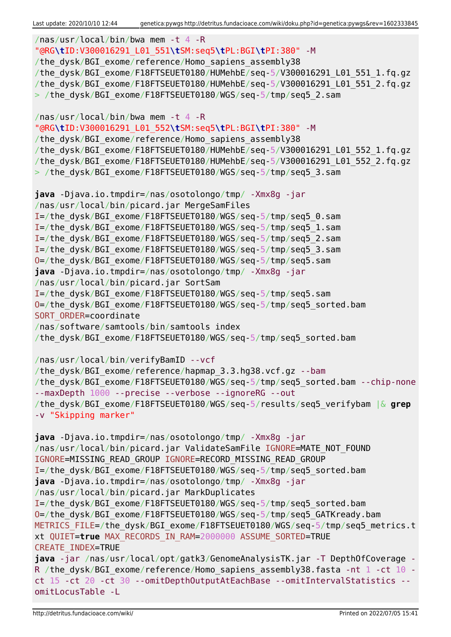```
/nas/usr/local/bin/bwa mem -t 4 -R
"@RG\tID:V300016291_L01_551\tSM:seq5\tPL:BGI\tPI:380" -M
/the dysk/BGI exome/reference/Homo sapiens assembly38
/the_dysk/BGI_exome/F18FTSEUET0180/HUMehbE/seq-5/V300016291_L01_551_1.fq.gz
/the_dysk/BGI_exome/F18FTSEUET0180/HUMehbE/seq-5/V300016291_L01_551_2.fq.gz
> /the dysk/BGI exome/F18FTSEUET0180/WGS/seq-5/tmp/seq5 2.sam
/nas/usr/local/bin/bwa mem -t 4 -R
"@RG\tID:V300016291_L01_552\tSM:seq5\tPL:BGI\tPI:380" -M
/the dysk/BGI exome/reference/Homo sapiens assembly38
/the_dysk/BGI_exome/F18FTSEUET0180/HUMehbE/seq-5/V300016291_L01_552_1.fq.gz
/the_dysk/BGI_exome/F18FTSEUET0180/HUMehbE/seq-5/V300016291_L01_552_2.fq.gz
> /the dysk/BGI exome/F18FTSEUET0180/WGS/seq-5/tmp/seq5 3.sam
java -Djava.io.tmpdir=/nas/osotolongo/tmp/ -Xmx8g -jar
/nas/usr/local/bin/picard.jar MergeSamFiles
I=/the_dysk/BGI_exome/F18FTSEUET0180/WGS/seq-5/tmp/seq5_0.sam
I=/the_dysk/BGI_exome/F18FTSEUET0180/WGS/seq-5/tmp/seq5_1.sam
I=/the_dysk/BGI_exome/F18FTSEUET0180/WGS/seq-5/tmp/seq5_2.sam
I=/the_dysk/BGI_exome/F18FTSEUET0180/WGS/seq-5/tmp/seq5_3.sam
O=/the_dysk/BGI_exome/F18FTSEUET0180/WGS/seq-5/tmp/seq5.sam
java -Djava.io.tmpdir=/nas/osotolongo/tmp/ -Xmx8g -jar
/nas/usr/local/bin/picard.jar SortSam
I=/the_dysk/BGI_exome/F18FTSEUET0180/WGS/seq-5/tmp/seq5.sam
O=/the_dysk/BGI_exome/F18FTSEUET0180/WGS/seq-5/tmp/seq5_sorted.bam
SORT ORDER=coordinate
/nas/software/samtools/bin/samtools index
/the_dysk/BGI_exome/F18FTSEUET0180/WGS/seq-5/tmp/seq5_sorted.bam
/nas/usr/local/bin/verifyBamID --vcf
/the dysk/BGI exome/reference/hapmap 3.3.hg38.vcf.gz --bam
/the_dysk/BGI_exome/F18FTSEUET0180/WGS/seq-5/tmp/seq5_sorted.bam --chip-none
--maxDepth 1000 --precise --verbose --ignoreRG --out
/the_dysk/BGI_exome/F18FTSEUET0180/WGS/seq-5/results/seq5_verifybam |& grep
-v "Skipping marker"
java -Djava.io.tmpdir=/nas/osotolongo/tmp/ -Xmx8g -jar
/nas/usr/local/bin/picard.jar ValidateSamFile IGNORE=MATE NOT FOUND
IGNORE=MISSING_READ_GROUP IGNORE=RECORD_MISSING_READ_GROUP
I=/the_dysk/BGI_exome/F18FTSEUET0180/WGS/seq-5/tmp/seq5_sorted.bam
java -Djava.io.tmpdir=/nas/osotolongo/tmp/ -Xmx8g -jar
/nas/usr/local/bin/picard.jar MarkDuplicates
I=/the_dysk/BGI_exome/F18FTSEUET0180/WGS/seq-5/tmp/seq5_sorted.bam
O=/the_dysk/BGI_exome/F18FTSEUET0180/WGS/seq-5/tmp/seq5_GATKready.bam
METRICS FILE=/the dysk/BGI exome/F18FTSEUET0180/WGS/seq-5/tmp/seq5 metrics.t
xt QUIET=true MAX_RECORDS_IN_RAM=2000000 ASSUME_SORTED=TRUE
CREATE_INDEX=TRUE
java -jar /nas/usr/local/opt/gatk3/GenomeAnalysisTK.jar -T DepthOfCoverage -
R /the dysk/BGI exome/reference/Homo sapiens assembly38.fasta -nt 1 -ct 10 -
ct 15 -ct 20 -ct 30 --omitDepthOutputAtEachBase --omitIntervalStatistics --
omitLocusTable -L
```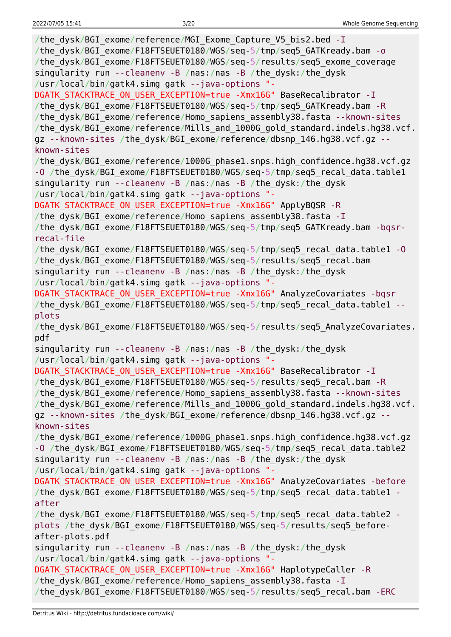| /the dysk/BGI exome/reference/MGI Exome Capture V5 bis2.bed - I<br>/the_dysk/BGI_exome/F18FTSEUET0180/WGS/seq-5/tmp/seq5_GATKready.bam - o<br>/the_dysk/BGI_exome/F18FTSEUET0180/WGS/seq-5/results/seq5_exome_coverage<br>singularity run --cleanenv -B /nas:/nas -B /the_dysk:/the_dysk<br>/usr/local/bin/gatk4.simg gatk --java-options "-                                                                                                              |
|-----------------------------------------------------------------------------------------------------------------------------------------------------------------------------------------------------------------------------------------------------------------------------------------------------------------------------------------------------------------------------------------------------------------------------------------------------------|
| DGATK STACKTRACE ON USER EXCEPTION=true -Xmx16G" BaseRecalibrator - I<br>/the_dysk/BGI_exome/F18FTSEUET0180/WGS/seq-5/tmp/seq5_GATKready.bam -R<br>/the_dysk/BGI_exome/reference/Homo_sapiens_assembly38.fasta --known-sites<br>/the_dysk/BGI_exome/reference/Mills_and_1000G_gold_standard.indels.hg38.vcf.<br>gz --known-sites /the dysk/BGI exome/reference/dbsnp 146.hg38.vcf.gz --                                                                   |
| known-sites<br>/the_dysk/BGI_exome/reference/1000G_phase1.snps.high_confidence.hg38.vcf.gz<br>-0 /the_dysk/BGI_exome/F18FTSEUET0180/WGS/seq-5/tmp/seq5_recal_data.table1<br>singularity run --cleanenv -B /nas:/nas -B /the_dysk:/the_dysk                                                                                                                                                                                                                |
| /usr/local/bin/gatk4.simg gatk --java-options "-<br>DGATK_STACKTRACE_ON_USER_EXCEPTION=true -Xmx16G" ApplyBQSR -R<br>/the dysk/BGI exome/reference/Homo sapiens assembly38.fasta - I<br>/the_dysk/BGI_exome/F18FTSEUET0180/WGS/seq-5/tmp/seq5_GATKready.bam -bqsr-<br>recal-file                                                                                                                                                                          |
| /the_dysk/BGI_exome/F18FTSEUET0180/WGS/seq-5/tmp/seq5_recal_data.table1 -0<br>/the_dysk/BGI_exome/F18FTSEUET0180/WGS/seq-5/results/seq5_recal.bam<br>singularity run --cleanenv -B /nas:/nas -B /the_dysk:/the_dysk<br>/usr/local/bin/gatk4.simg gatk --java-options "-                                                                                                                                                                                   |
| DGATK STACKTRACE ON USER EXCEPTION=true -Xmx16G" AnalyzeCovariates -bqsr<br>/the_dysk/BGI_exome/F18FTSEUET0180/WGS/seq-5/tmp/seq5_recal_data.table1 --<br>plots                                                                                                                                                                                                                                                                                           |
| /the_dysk/BGI_exome/F18FTSEUET0180/WGS/seq-5/results/seq5_AnalyzeCovariates.<br>pdf                                                                                                                                                                                                                                                                                                                                                                       |
| singularity run --cleanenv -B /nas:/nas -B /the dysk:/the dysk                                                                                                                                                                                                                                                                                                                                                                                            |
| /usr/local/bin/gatk4.simg gatk --java-options "-<br>DGATK STACKTRACE ON USER EXCEPTION=true -Xmx16G" BaseRecalibrator -I<br>/the dysk/BGI exome/F18FTSEUET0180/WGS/seq-5/results/seq5 recal.bam -R<br>/the_dysk/BGI_exome/reference/Homo_sapiens_assembly38.fasta --known-sites<br>/the dysk/BGI exome/reference/Mills and 1000G gold standard.indels.hg38.vcf.<br>gz --known-sites /the dysk/BGI exome/reference/dbsnp 146.hg38.vcf.gz --<br>known-sites |
| /the dysk/BGI exome/reference/1000G phasel.snps.high confidence.hg38.vcf.gz<br>-0 /the_dysk/BGI_exome/F18FTSEUET0180/WGS/seq-5/tmp/seq5 recal data.table2<br>singularity run --cleanenv -B /nas:/nas -B /the_dysk:/the_dysk                                                                                                                                                                                                                               |
| /usr/local/bin/gatk4.simg gatk --java-options "-<br>DGATK STACKTRACE ON USER EXCEPTION=true -Xmx16G" AnalyzeCovariates -before<br>/the_dysk/BGI_exome/F18FTSEUET0180/WGS/seq-5/tmp/seq5_recal_data.table1 -<br>after                                                                                                                                                                                                                                      |
| /the_dysk/BGI_exome/F18FTSEUET0180/WGS/seq-5/tmp/seq5_recal_data.table2 -<br>plots /the_dysk/BGI_exome/F18FTSEUET0180/WGS/seq-5/results/seq5_before-<br>after-plots.pdf                                                                                                                                                                                                                                                                                   |
| singularity run --cleanenv -B /nas:/nas -B /the dysk:/the dysk<br>/usr/local/bin/gatk4.simg gatk --java-options "-                                                                                                                                                                                                                                                                                                                                        |
| DGATK STACKTRACE ON USER EXCEPTION=true -Xmx16G" HaplotypeCaller -R<br>/the_dysk/BGI_exome/reference/Homo_sapiens_assembly38.fasta - I<br>/the_dysk/BGI_exome/F18FTSEUET0180/WGS/seq-5/results/seq5_recal.bam -ERC                                                                                                                                                                                                                                        |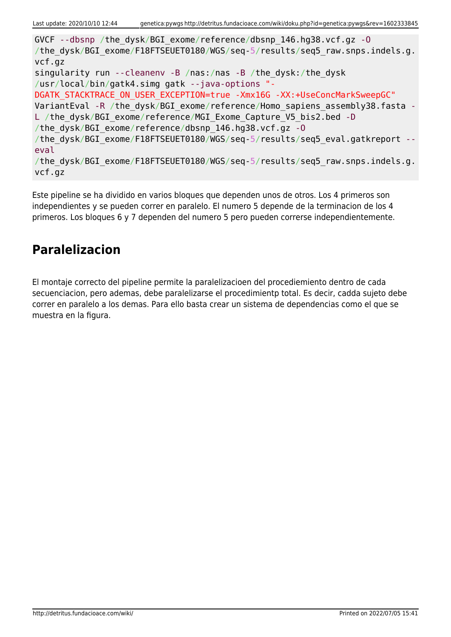GVCF --dbsnp /the\_dysk/BGI\_exome/reference/dbsnp\_146.hg38.vcf.gz -O /the dysk/BGI exome/F18FTSEUET0180/WGS/seq-5/results/seq5 raw.snps.indels.g. vcf.gz singularity run --cleanenv -B /nas:/nas -B /the\_dysk:/the\_dysk /usr/local/bin/gatk4.simg gatk --java-options "- DGATK STACKTRACE ON USER EXCEPTION=true -Xmx16G -XX:+UseConcMarkSweepGC" VariantEval -R /the dysk/BGI\_exome/reference/Homo\_sapiens\_assembly38.fasta -L /the dysk/BGI exome/reference/MGI Exome Capture V5 bis2.bed -D /the\_dysk/BGI\_exome/reference/dbsnp\_146.hg38.vcf.gz -O /the dysk/BGI exome/F18FTSEUET0180/WGS/seq-5/results/seq5 eval.gatkreport -eval /the dysk/BGI exome/F18FTSEUET0180/WGS/seq-5/results/seq5 raw.snps.indels.g. vcf.gz

Este pipeline se ha dividido en varios bloques que dependen unos de otros. Los 4 primeros son independientes y se pueden correr en paralelo. El numero 5 depende de la terminacion de los 4 primeros. Los bloques 6 y 7 dependen del numero 5 pero pueden correrse independientemente.

## **Paralelizacion**

El montaje correcto del pipeline permite la paralelizacioen del procediemiento dentro de cada secuenciacion, pero ademas, debe paralelizarse el procedimientp total. Es decir, cadda sujeto debe correr en paralelo a los demas. Para ello basta crear un sistema de dependencias como el que se muestra en la figura.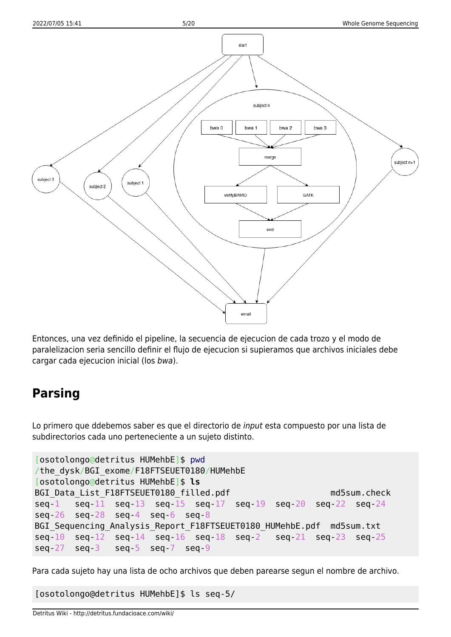

Entonces, una vez definido el pipeline, la secuencia de ejecucion de cada trozo y el modo de paralelizacion seria sencillo definir el flujo de ejecucion si supieramos que archivos iniciales debe cargar cada ejecucion inicial (los bwa).

### **Parsing**

Lo primero que ddebemos saber es que el directorio de input esta compuesto por una lista de subdirectorios cada uno perteneciente a un sujeto distinto.

```
[osotolongo@detritus HUMehbE]$ pwd
/the_dysk/BGI_exome/F18FTSEUET0180/HUMehbE
[osotolongo@detritus HUMehbE]$ ls
BGI Data List F18FTSEUET0180 filled.pdf md5sum.check
seq-1 seq-11 seq-13 seq-15 seq-17 seq-19 seq-20 seq-22 seq-24
seq-26 seq-28 seq-4 seq-6 seq-8
BGI Sequencing Analysis Report F18FTSEUET0180 HUMehbE.pdf md5sum.txt
seq-10 seq-12 seq-14 seq-16 seq-18 seq-2 seq-21 seq-23 seq-25
seq-27 seq-3 seq-5 seq-7 seq-9
```
Para cada sujeto hay una lista de ocho archivos que deben parearse segun el nombre de archivo.

[osotolongo@detritus HUMehbE]\$ ls seq-5/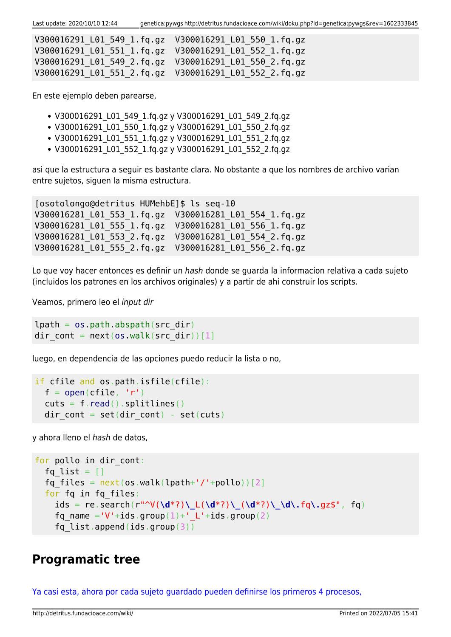Last update: 2020/10/10 12:44 genetica:pywgs http://detritus.fundacioace.com/wiki/doku.php?id=genetica:pywgs&rev=1602333845

| V300016291 L01 549 1.fg.gz V300016291 L01 550 1.fg.gz |  |
|-------------------------------------------------------|--|
| V300016291 L01 551 1.fg.gz V300016291 L01 552 1.fg.gz |  |
| V300016291 L01 549 2.fq.gz V300016291 L01 550 2.fq.gz |  |
| V300016291 L01 551 2.fq.gz V300016291 L01 552 2.fq.gz |  |

En este ejemplo deben parearse,

- V300016291\_L01\_549\_1.fq.gz y V300016291\_L01\_549\_2.fq.gz
- V300016291 L01 550 1.fq.gz y V300016291 L01 550 2.fq.gz
- V300016291 L01 551 1.fq.gz y V300016291 L01 551 2.fq.gz
- V300016291 L01 552 1.fg.gz y V300016291 L01 552 2.fg.gz

asi que la estructura a seguir es bastante clara. No obstante a que los nombres de archivo varian entre sujetos, siguen la misma estructura.

[osotolongo@detritus HUMehbE]\$ ls seq-10 V300016281\_L01\_553\_1.fq.gz V300016281\_L01\_554\_1.fq.gz V300016281\_L01\_555\_1.fq.gz V300016281\_L01\_556\_1.fq.gz V300016281\_L01\_553\_2.fq.gz V300016281\_L01\_554\_2.fq.gz V300016281\_L01\_555\_2.fq.gz V300016281\_L01\_556\_2.fq.gz

Lo que voy hacer entonces es definir un hash donde se guarda la informacion relativa a cada sujeto (incluidos los patrones en los archivos originales) y a partir de ahi construir los scripts.

Veamos, primero leo el input dir

```
lpath = os.pathr<sub>obs</sub>, abspath(src dir)</sub>
dir cont = next(os.walk(src dir))[1]
```
luego, en dependencia de las opciones puedo reducir la lista o no,

```
if cfile and os.path.isfile(cfile):
 open(cfile, 'r')read().splitlines()dir cont = set(dir cont) - set(cuts)
```
y ahora lleno el hash de datos,

```
for pollo in dir cont:
  fq list = []fq files = next(os.walk(lpath+'/'+pollo))[2] for fq in fq_files:
     ids = re.search(r"^V(\d*?)\_L(\d*?)\_(\d*?)\_\d\.fq\.gz$", fq)
    fq name ='V'+ids.group(1)+' L'+ids.group(2)
    fq list.append(ids.group(3))
```
### **Programatic tree**

[Ya casi esta, ahora por cada sujeto guardado pueden definirse los primeros 4 procesos,](#page--1-0)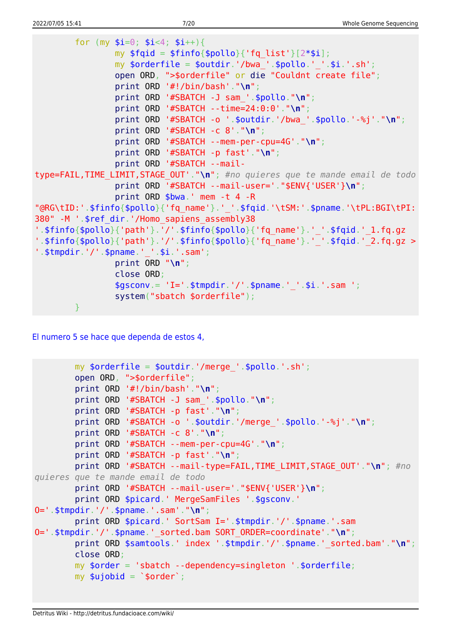```
for (my $i=0; $i<4; $i++){}my $fqid = $finfo{$pollo}{'rg_list'}[2*si];my $orderfile = $outdir.'/bwa_'.$pollo.' '.$i.'.sh';
                open ORD, ">$orderfile" or die "Couldnt create file";
                print ORD '#!/bin/bash'. "\n";print ORD '#SBATCH -J sam '.$pollo."\n";
                print ORD '#SBATCH --time=24:0:0'."\n";
                print ORD '#SBATCH -o ' $outdir '/bwa ' $pollo '-%j' "\n";
                print ORD '#SBATCH -c 8'."\n";
                print ORD '#SBATCH --mem-per-cpu=4G' "\n";
                print ORD '#SBATCH -p fast'."\n";
                print ORD '#SBATCH --mail-
type=FAIL, TIME LIMIT, STAGE OUT'. "\n"; #no quieres que te mande email de todo
                print ORD '#SBATCH --mail-user='."$ENV{'USER'}\n";
                print ORD $bwa.' mem -t 4 -R
"@RG\tID:'.$finfo{$pollo}{'fq name'}.' '.$fqid.'\tSM:'.$pname.'\tPL:BGI\tPI:
380" - M ' $ref dir.'/Homo sapiens assembly38
'.$finfo{$pollo}{'path'}.'/'.$finfo{$pollo}{'fq_name'}.'_'.$fqid.'_1.fq.gz
'.$finfo{$pollo}{'path'}.'/'.$finfo{$pollo}{'fq_name'}.'_'.$fqid.'_2.fq.gz >
'.$tmpdir.'/'.$pname.''.§i.*si.'sam';print ORD "\n";
                close ORD:
                $gsconv = 'I=' .$tmpdir.'/'.$pname.''_'.$i.'.sam ';system("sbatch $orderfile");
        ł
```
El numero 5 se hace que dependa de estos 4.

```
my $orderfile = $outdir.'/merge '.$pollo.'.sh';
        open ORD, ">$orderfile";
        print ORD '#!/bin/bash'."\n";
        print ORD '#SBATCH -J sam '.$pollo."\n";
        print ORD '#SBATCH -p fast'."\n";
        print ORD '#SBATCH -o '.$outdir.'/merge '.$pollo.'-%j'."\n";
        print ORD '#SBATCH -c 8'."\n";
        print ORD '#SBATCH --mem-per-cpu=4G'."\n":
        print ORD '#SBATCH -p fast'."\n\n'\nprint ORD '#SBATCH --mail-type=FAIL, TIME_LIMIT, STAGE_OUT'. "\n"; #no
quieres que te mande email de todo
        print ORD '#SBATCH --mail-user='."$ENV{'USER'}\n";
        print ORD $picard.' MergeSamFiles '.$gsconv.'
0 = ' .$tmpdir.''/'.$pname.' .sann'." \n'';print ORD $picard.' SortSam I=' $tmpdir.'/' $pname.'.sam
0='.$tmpdir.'/'.$pname.' sorted.bam SORT ORDER=coordinate'."\n";
        print ORD $samtools.' index '.$tmpdir.'/'.$pname.' sorted.bam'."\n";
        close ORD:
        my $order = 'sbatch --dependency=singleton '.$orderfile;
        my $ujobid = `$order`;
```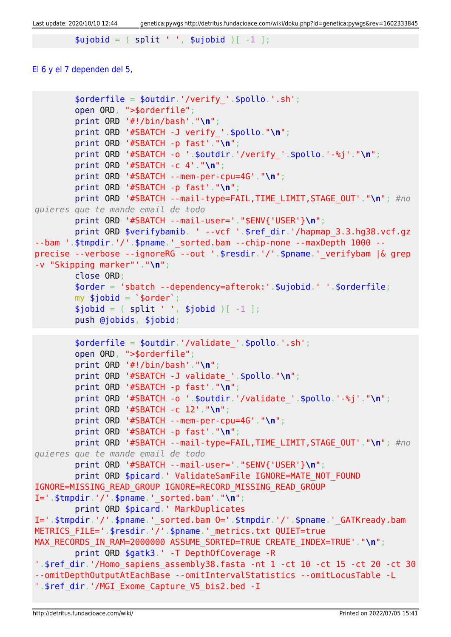Last update: 2020/10/10 12:44 genetica:pywgs http://detritus.fundacioace.com/wiki/doku.php?id=genetica:pywgs&rev=1602333845

```
split ' ', $ujobid )[-1 ];
```
#### [El 6 y el 7 dependen del 5,](#page--1-0)

```
 $orderfile = $outdir.'/verify_'.$pollo.'.sh';
         open ORD, ">$orderfile";
         print ORD '#!/bin/bash'."\n";
         print ORD '#SBATCH -J verify_'.$pollo."\n";
         print ORD '#SBATCH -p fast'."\n";
         print ORD '#SBATCH -o '.$outdir.'/verify_'.$pollo.'-%j'."\n";
         print ORD '#SBATCH -c 4'."\n";
         print ORD '#SBATCH --mem-per-cpu=4G'."\n";
         print ORD '#SBATCH -p fast'."\n";
         print ORD '#SBATCH --mail-type=FAIL,TIME_LIMIT,STAGE_OUT'."\n"; #no
quieres que te mande email de todo
         print ORD '#SBATCH --mail-user='."$ENV{'USER'}\n";
         print ORD $verifybamib. ' --vcf '.$ref_dir.'/hapmap_3.3.hg38.vcf.gz
--bam '.$tmpdir.'/'.$pname.'_sorted.bam --chip-none --maxDepth 1000 --
precise --verbose --ignoreRG --out '.$resdir.'/'.$pname.'_verifybam |& grep
-v "Skipping marker"'."\n";
         close ORD;
         $order = 'sbatch --dependency=afterok:'.$ujobid.' '.$orderfile;
        my $jobid = '~border';split ' ', $jobid )[-1 ]; push @jobids, $jobid;
        $orderfile = $outdir.'/value'date'.spollo.'.sh'; open ORD, ">$orderfile";
         print ORD '#!/bin/bash'."\n";
         print ORD '#SBATCH -J validate_'.$pollo."\n";
         print ORD '#SBATCH -p fast'."\n";
         print ORD '#SBATCH -o '.$outdir.'/validate_'.$pollo.'-%j'."\n";
         print ORD '#SBATCH -c 12'."\n";
         print ORD '#SBATCH --mem-per-cpu=4G'."\n";
         print ORD '#SBATCH -p fast'."\n";
         print ORD '#SBATCH --mail-type=FAIL,TIME_LIMIT,STAGE_OUT'."\n"; #no
quieres que te mande email de todo
         print ORD '#SBATCH --mail-user='."$ENV{'USER'}\n";
        print ORD $picard.' ValidateSamFile IGNORE=MATE NOT FOUND
IGNORE=MISSING_READ_GROUP IGNORE=RECORD_MISSING_READ_GROUP
I='.$tmpdir.'/'.$pname.'_sorted.bam'."\n";
         print ORD $picard.' MarkDuplicates
I='.$tmpdir.'/'.$pname.'_sorted.bam O='.$tmpdir.'/'.$pname.'_GATKready.bam
METRICS_FILE='.$resdir.'/'.$pname.'_metrics.txt QUIET=true
MAX RECORDS IN RAM=2000000 ASSUME SORTED=TRUE CREATE INDEX=TRUE'."\n";
         print ORD $gatk3.' -T DepthOfCoverage -R
'.$ref_dir.'/Homo_sapiens_assembly38.fasta -nt 1 -ct 10 -ct 15 -ct 20 -ct 30
--omitDepthOutputAtEachBase --omitIntervalStatistics --omitLocusTable -L
'.$ref dir.'/MGI Exome Capture V5 bis2.bed -I
```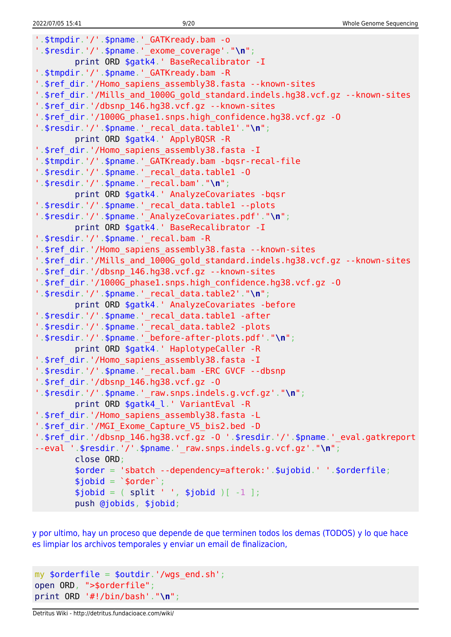'.\$tmpdir.'/'.\$pname.' GATKready.bam -o '.\$resdir.'/'.\$pname.'\_exome\_coverage'."**\n**"; [print](http://perldoc.perl.org/functions/print.html) ORD \$gatk4.' BaseRecalibrator -I '.\$tmpdir.'/'.\$pname.' GATKready.bam -R '.\$ref dir.'/Homo sapiens assembly38.fasta --known-sites '.\$ref dir.'/Mills and 1000G gold standard.indels.hg38.vcf.gz --known-sites '.\$ref\_dir.'/dbsnp\_146.hg38.vcf.gz --known-sites '.\$ref\_dir.'/1000G\_phase1.snps.high\_confidence.hg38.vcf.gz -O '.\$resdir.'/'.\$pname.'\_recal\_data.table1'."**\n**"; [print](http://perldoc.perl.org/functions/print.html) ORD \$gatk4.' ApplyBQSR -R '.\$ref dir.'/Homo sapiens assembly38.fasta -I '.\$tmpdir.'/'.\$pname.' GATKready.bam -bqsr-recal-file '.\$resdir.'/'.\$pname.'\_recal\_data.table1 -O '.\$resdir.'/'.\$pname.'\_recal.bam'."**\n**"; [print](http://perldoc.perl.org/functions/print.html) ORD \$gatk4.' AnalyzeCovariates -bqsr '.\$resdir.'/'.\$pname.'\_recal\_data.table1 --plots '.\$resdir.'/'.\$pname.'\_AnalyzeCovariates.pdf'."**\n**"; [print](http://perldoc.perl.org/functions/print.html) ORD \$gatk4.' BaseRecalibrator -I '.\$resdir.'/'.\$pname.' recal.bam -R '.\$ref\_dir.'/Homo\_sapiens\_assembly38.fasta --known-sites '.\$ref dir.'/Mills and 1000G gold standard.indels.hg38.vcf.gz --known-sites '.\$ref\_dir.'/dbsnp\_146.hg38.vcf.gz --known-sites '.\$ref\_dir.'/1000G\_phase1.snps.high\_confidence.hg38.vcf.gz -O '.\$resdir.'/'.\$pname.'\_recal\_data.table2'."**\n**"; [print](http://perldoc.perl.org/functions/print.html) ORD \$gatk4.' AnalyzeCovariates -before '.\$resdir.'/'.\$pname.'\_recal\_data.table1 -after '.\$resdir.'/'.\$pname.' recal data.table2 -plots '.\$resdir.'/'.\$pname.'\_before-after-plots.pdf'."**\n**"; [print](http://perldoc.perl.org/functions/print.html) ORD \$gatk4.' HaplotypeCaller -R '.\$ref\_dir.'/Homo\_sapiens\_assembly38.fasta -I '.\$resdir.'/'.\$pname.' recal.bam -ERC GVCF --dbsnp '.\$ref\_dir.'/dbsnp\_146.hg38.vcf.gz -O '.\$resdir.'/'.\$pname.'\_raw.snps.indels.g.vcf.gz'."**\n**"; [print](http://perldoc.perl.org/functions/print.html) ORD \$gatk4\_l.' VariantEval -R '.\$ref dir.'/Homo sapiens assembly38.fasta -L '.\$ref\_dir.'/MGI\_Exome\_Capture\_V5\_bis2.bed -D '.\$ref\_dir.'/dbsnp\_146.hg38.vcf.gz -O '.\$resdir.'/'.\$pname.'\_eval.gatkreport --eval '.\$resdir.'/'.\$pname.'\_raw.snps.indels.g.vcf.gz'."**\n**"; [close](http://perldoc.perl.org/functions/close.html) ORD; \$order = 'sbatch --dependency=afterok:'.\$ujobid.' '.\$orderfile;  $$jobid = 'border';$  $$jobid = ( split ' ', $jobid )[-1 ];$  $$jobid = ( split ' ', $jobid )[-1 ];$  $$jobid = ( split ' ', $jobid )[-1 ];$ [push](http://perldoc.perl.org/functions/push.html) @jobids, \$jobid;

[y por ultimo, hay un proceso que depende de que terminen todos los demas \(TODOS\) y lo que hace](#page--1-0) [es limpiar los archivos temporales y enviar un email de finalizacion,](#page--1-0)

```
my \text{forderfile} = \text{solution}, '/wgs end.sh';
open ORD, ">$orderfile";
print ORD '#!/bin/bash'."\n";
```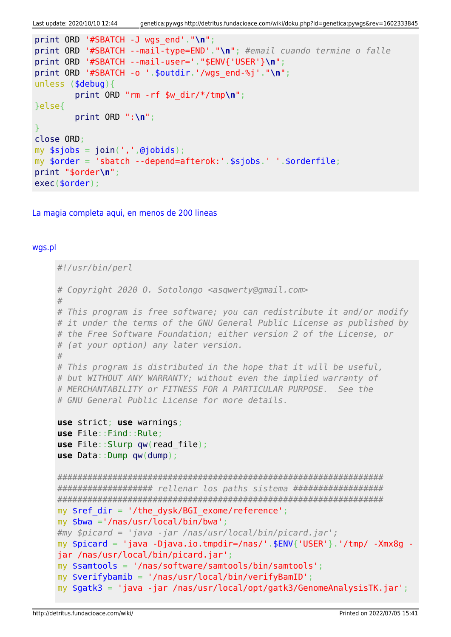```
Last update: 2020/10/10 12:44 genetica:pywgs http://detritus.fundacioace.com/wiki/doku.php?id=genetica:pywgs&rev=1602333845
```

```
print ORD '#SBATCH -J wgs_end'."\n";
print ORD '#SBATCH --mail-type=END'."\n"; #email cuando termine o falle
print ORD '#SBATCH --mail-user='."$ENV{'USER'}\n";
print ORD '#SBATCH -o '.$outdir.'/wgs_end-%j'."\n";
unless ($debug){
         print ORD "rm -rf $w_dir/*/tmp\n";
}else{
        print ORD ":\n";
}
close ORD;
my join(','',@jobids);my $order = 'sbatch --depend=afterok:'.$sjobs.' '.$orderfile;
print "$order\n";
exec($order);
```
[La magia completa aqui, en menos de 200 lineas](#page--1-0)

#### [wgs.pl](http://detritus.fundacioace.com/wiki/doku.php?do=export_code&id=genetica:pywgs&codeblock=13)

```
#!/usr/bin/perl
# Copyright 2020 O. Sotolongo <asqwerty@gmail.com>
#
# This program is free software; you can redistribute it and/or modify
# it under the terms of the GNU General Public License as published by
# the Free Software Foundation; either version 2 of the License, or
# (at your option) any later version.
#
# This program is distributed in the hope that it will be useful,
# but WITHOUT ANY WARRANTY; without even the implied warranty of
# MERCHANTABILITY or FITNESS FOR A PARTICULAR PURPOSE. See the
# GNU General Public License for more details.
use strict; use warnings;
use File::Find::Rule;
use File::Slurp qw(read_file);
use Data::Dump qw(dump);
#################################################################
################### rellenar los paths sistema ##################
#################################################################
my \frac{1}{2} ref dir = '/the dysk/BGI exome/reference';
my $bwa ='/nas/usr/local/bin/bwa';
#my $picard = 'java -jar /nas/usr/local/bin/picard.jar';
my $picard = 'java -Djava.io.tmpdir=/nas/'.$ENV{'USER'}.'/tmp/ -Xmx8g -
jar /nas/usr/local/bin/picard.jar';
my $samtools = '/nas/software/samtools/bin/samtools';
my $verifybamib = '/nas/usr/local/bin/verifyBamID';
my $gatk3 = 'java -jar /nas/usr/local/opt/gatk3/GenomeAnalysisTK.jar';
```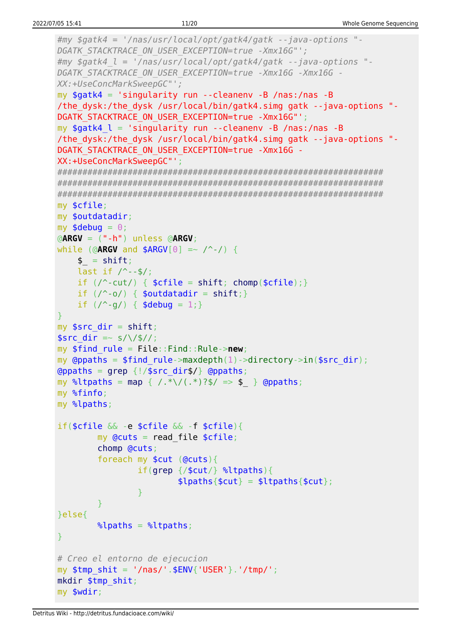```
\#my $gatk4 = '/nas/usr/local/opt/gatk4/gatk --java-options "-
DGATK STACKTRACE ON USER EXCEPTION=true -Xmx16G"';
\#my $gatk4 l = '/nas/usr/local/opt/gatk4/gatk --java-options "-
DGATK STACKTRACE ON USER EXCEPTION=true -Xmx16G -Xmx16G -
XX:+UseConcMarkSweepGC"';
my $gatk4 = 'singularity run --cleanenv -B /nas:/nas -B/the dysk:/the dysk /usr/local/bin/gatk4.simg gatk --java-options "-
DGATK STACKTRACE ON USER EXCEPTION=true -Xmx16G"';
my $gatk4 l = 'singularity run --cleanenv -B /nas:/nas -B/the dysk:/the dysk /usr/local/bin/gatk4.simg gatk --java-options "-
DGATK STACKTRACE ON USER EXCEPTION=true -Xmx16G -
XX:+UseConcMarkSweepGC"';
my $cfile:
my $outdatadir;
my $debug = \theta;
\triangleARGV = (" - h") unless \triangleARGV;
while (@ARGV and $ARGV[0] =~ /-/) {
    \overline{\$} = shift;
    last if / --$/;
    if (\wedge^2-cut/) { $cfile = shift; chomp($cfile);}if (\wedge \neg o) { $outdatadir = shift; }
    if (\wedge^{\wedge}-g/) { $debug = 1;}
\mathcal{F}my $src dir = shift;$src dir = ~ s/\1$//;
my $find rule = File::Find::Rule->new;
my @ppaths = $find rule->maxdepth(1)->directory->in($src dir);
(appaths = \alpha = \frac{1}{3} = \frac{1}{3} = \frac{1}{3} = \frac{1}{3} = \frac{1}{3} = \frac{1}{3} = \frac{1}{3} = \frac{1}{3} = \frac{1}{3} = \frac{1}{3} = \frac{1}{3} = \frac{1}{3} = \frac{1}{3} = \frac{1}{3} = \frac{1}{3} = \frac{1}{3} = \frac{1}{3} = \fracmy %ltpaths = map { /.*\/(.*)?$/ => $ } @ppaths;
my %finfo;
my %lpaths;
if(\text{script }\&\&\text{ -}e \text{ to }t\&\text{ -}f \text{ to }t\&\text{ -}fmy Qcuts = read_file $cfile;
         chomp @cuts;
         foreach my $cut (@cuts){
                  if(qrep \ {scut} \ %ltpaths){
                           \{5 \text{paths} \cdot \text{scut}\} = \{1 \text{tpaths} \cdot \text{scut}\};ł
         J.
}else{
         \lambdalpaths = \lambdaltpaths;
<sup>T</sup>
# Creo el entorno de ejecucion
my $tmp shift = '/nas/'.$ENV{''USER'}'.'tmp/';mkdir $tmp shit;
my $wdir;
```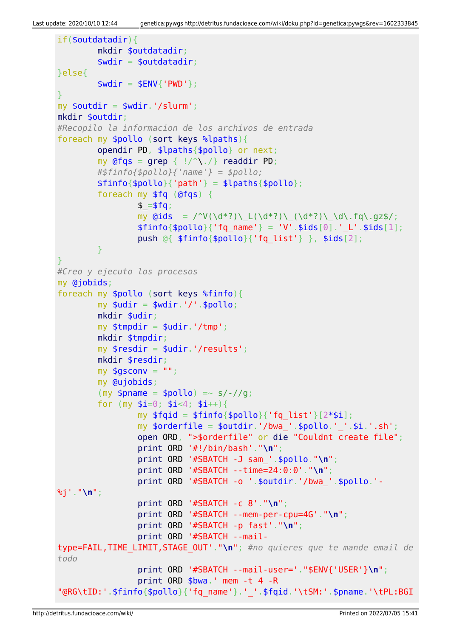```
if($outdatadir){
         mkdir $outdatadir;
         $wdir = $outdatadir;
}else{
        $wdir = $ENV{'}}'PWD'};}
my $outdir = $wdir.'/slurm';
mkdir $outdir;
#Recopilo la informacion de los archivos de entrada
foreach my $pollo (sort keys %lpaths){
         opendir PD, $lpaths{$pollo} or next;
        my @fqs = qrep { |}/^{\wedge}readdir PD;
         #$finfo{$pollo}{'name'} = $pollo;
        $finfo{$pollo}{'vab} = $lpaths{$pollo}$; foreach my $fq (@fqs) {
                 $ = $fa;my \ddot{q}ids = /^V(\d*?)\_L(\d*?)\_(\d*?)\_\d\.fq\.gz$/;
                 $finfo{}$pollo}{'fq name'} = 'V'.$ids[0].' L'.$ids[1];
                 push @{ $finfo{$pollo}{'fq_list'} }, $ids[2];
 }
}
#Creo y ejecuto los procesos
my @jobids;
foreach my $pollo (sort keys %finfo){
        my $udir = $wdir.'/'.$pollo; mkdir $udir;
        my $tmpdir = $udir.'/tmp': mkdir $tmpdir;
         my $resdir = $udir.'/results';
         mkdir $resdir;
        mv $gsconv = "";
         my @ujobids;
        (my $pname = $pollo) =~ s/-//q;
        for (my \text{ } $i=0; \text{ } $i<4; \text{ } $i++}{
                my $fqid = $finfo{$pollo}{'fq list'}[2*si]; my $orderfile = $outdir.'/bwa_'.$pollo.'_'.$i.'.sh';
                 open ORD, ">$orderfile" or die "Couldnt create file";
                 print ORD '#!/bin/bash'."\n";
                 print ORD '#SBATCH -J sam_'.$pollo."\n";
                 print ORD '#SBATCH --time=24:0:0'."\n";
                 print ORD '#SBATCH -o '.$outdir.'/bwa_'.$pollo.'-
%j'."\n";
                 print ORD '#SBATCH -c 8'."\n";
                  print ORD '#SBATCH --mem-per-cpu=4G'."\n";
                 print ORD '#SBATCH -p fast'."\n";
                 print ORD '#SBATCH --mail-
type=FAIL,TIME_LIMIT,STAGE_OUT'."\n"; #no quieres que te mande email de
todo
                 print ORD '#SBATCH --mail-user='."$ENV{'USER'}\n";
                 print ORD $bwa.' mem -t 4 -R
"@RG\tID:'.$finfo{$pollo}{'fq_name'}.'_'.$fqid.'\tSM:'.$pname.'\tPL:BGI
```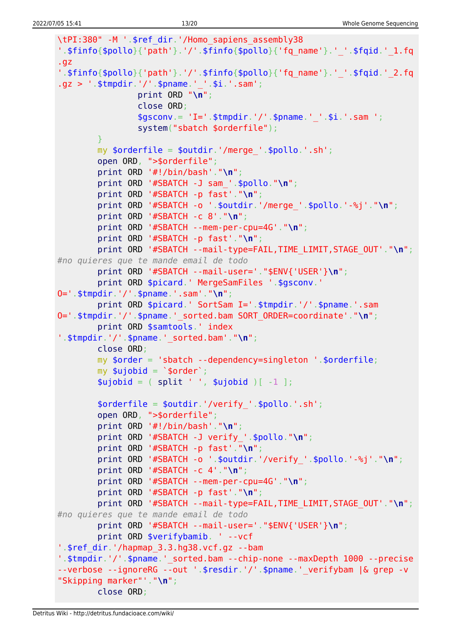```
\tPI:380" -M '.$ref dir.'/Homo sapiens assembly38
'.$finfo{$pollo}{'path'}.'/'.$finfo{$pollo}{'fq_name'}.'_'.$fqid.'_1.fq
.9Z'.$finfo{$pollo}{'path'}.'/'.$finfo{$pollo}{'fq name'}.' '.$fqid.' 2.fq
.gz > ' .$tmpdir.'/'.$pname.'_'.$i.'.sim'print ORD "n";close ORD:
                $gsconv = 'I=' .$tmpdir.'/'.$pname.'-'.'s1'.sam ';system("sbatch $orderfile");
        Y
        my \text{sortederfile} = \text{solution}.'/merge '.\text{spollo}.'.sh';
        open ORD, ">$orderfile";
        print ORD '#!/bin/bash'."\n'\n';
        print ORD '#SBATCH -J sam '.$pollo."\n";
        print ORD '#SBATCH -p fast'."\n";
        print ORD '#SBATCH -o '.$outdir.'/merge '.$pollo.'-%j'."\n";
        print ORD '#SBATCH -c 8'."\n";
        print ORD '#SBATCH --mem-per-cpu=4G'."\n";
        print ORD '#SBATCH -p fast'."\n'\nprint ORD '#SBATCH --mail-type=FAIL, TIME LIMIT, STAGE OUT'. "\n";
#no quieres que te mande email de todo
        print ORD '#SBATCH --mail-user='."$ENV{'USER'}\n";
        print ORD $picard.' MergeSamFiles '.$gsconv.'
0 = '.$tmpdir.'/'.$pname.'.sam'."\n";
        print ORD $picard.' SortSam I='.$tmpdir.'/'.$pname.'.sam
0='.$tmpdir.'/'.$pname.' sorted.bam SORT ORDER=coordinate'."\n";
        print ORD $samtools.' index
'.$tmpdir.'/'.$pname.' sorted.bam'."\n";
        close ORD:
        my $order = 'sbatch --dependency=singleton '.$orderfile;
        mv $uiobid = \sqrt{s}order\sqrt{s}:
        $ujobid = ( split ' ', $ujobid )[-1 ];\text{sortederfile} = \text{south}.'/verify '.$pollo.'.sh';
        open ORD, ">$orderfile";
        print ORD '#!/bin/bash'."\n";
        print ORD '#SBATCH -J verify_'.$pollo."\n";
        print ORD '#SBATCH -p fast'."\n\cdot;
        print ORD '#SBATCH -o ' $outdir.'/verify ' $pollo.'-%j'."\n";
        print ORD '#SBATCH -c 4'."\n";
        print ORD '#SBATCH --mem-per-cpu=4G'."\n";
        print ORD '#SBATCH -p fast'."\n";
        print ORD '#SBATCH --mail-type=FAIL, TIME LIMIT, STAGE OUT'. "\n";
#no quieres que te mande email de todo
        print ORD '#SBATCH --mail-user='."$ENV{'USER'}\n";
        print ORD $verifybamib. ' -- vcf
'.$ref dir.'/hapmap 3.3.hg38.vcf.gz --bam
'.$tmpdir.'/'.$pname.' sorted.bam --chip-none --maxDepth 1000 --precise
--verbose --ignoreRG --out '.$resdir.'/'.$pname.' verifybam |& grep -v
"Skipping marker"'."\n";
        close ORD;
```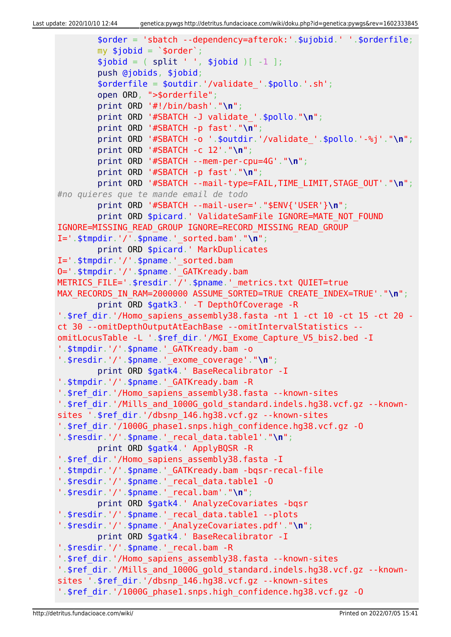```
 $order = 'sbatch --dependency=afterok:'.$ujobid.' '.$orderfile;
        my $jobid = '$order';split ' ', $jobid )[-1 ]; push @jobids, $jobid;
         $orderfile = $outdir.'/validate_'.$pollo.'.sh';
         open ORD, ">$orderfile";
         print ORD '#!/bin/bash'."\n";
         print ORD '#SBATCH -J validate_'.$pollo."\n";
         print ORD '#SBATCH -p fast'."\n";
         print ORD '#SBATCH -o '.$outdir.'/validate_'.$pollo.'-%j'."\n";
         print ORD '#SBATCH -c 12'."\n";
         print ORD '#SBATCH --mem-per-cpu=4G'."\n";
         print ORD '#SBATCH -p fast'."\n";
         print ORD '#SBATCH --mail-type=FAIL,TIME_LIMIT,STAGE_OUT'."\n";
#no quieres que te mande email de todo
         print ORD '#SBATCH --mail-user='."$ENV{'USER'}\n";
        print ORD $picard.' ValidateSamFile IGNORE=MATE NOT FOUND
IGNORE=MISSING_READ_GROUP IGNORE=RECORD_MISSING_READ_GROUP
I='.$tmpdir.'/'.$pname.'_sorted.bam'."\n";
         print ORD $picard.' MarkDuplicates
I='.$tmpdir.'/'.$pname.'_sorted.bam
O='.$tmpdir.'/'.$pname.'_GATKready.bam
METRICS FILE='.$resdir.'/'.$pname.' metrics.txt QUIET=true
MAX_RECORDS_IN_RAM=2000000_ASSUME_SORTED=TRUE CREATE_INDEX=TRUE'."\n";
         print ORD $gatk3.' -T DepthOfCoverage -R
'.$ref dir.'/Homo sapiens assembly38.fasta -nt 1 -ct 10 -ct 15 -ct 20 -
ct 30 --omitDepthOutputAtEachBase --omitIntervalStatistics --
omitLocusTable -L '.$ref_dir.'/MGI_Exome_Capture_V5_bis2.bed -I
'.$tmpdir.'/'.$pname.' GATKready.bam -o
'.$resdir.'/'.$pname.'_exome_coverage'."\n";
         print ORD $gatk4.' BaseRecalibrator -I
'.$tmpdir.'/'.$pname.'_GATKready.bam -R
'.$ref_dir.'/Homo_sapiens_assembly38.fasta --known-sites
'.$ref_dir.'/Mills_and_1000G_gold_standard.indels.hg38.vcf.gz --known-
sites '.$ref_dir.'/dbsnp_146.hg38.vcf.gz --known-sites
'.$ref_dir.'/1000G_phase1.snps.high_confidence.hg38.vcf.gz -O
'.$resdir.'/'.$pname.'_recal_data.table1'."\n";
         print ORD $gatk4.' ApplyBQSR -R
'.$ref dir.'/Homo sapiens assembly38.fasta -I
'.$tmpdir.'/'.$pname.'_GATKready.bam -bqsr-recal-file
'.$resdir.'/'.$pname.'_recal_data.table1 -O
'.$resdir.'/'.$pname.'_recal.bam'."\n";
         print ORD $gatk4.' AnalyzeCovariates -bqsr
'.$resdir.'/'.$pname.' recal data.table1 --plots
'.$resdir.'/'.$pname.'_AnalyzeCovariates.pdf'."\n";
         print ORD $gatk4.' BaseRecalibrator -I
'.$resdir.'/'.$pname.'_recal.bam -R
'.$ref dir.'/Homo sapiens assembly38.fasta --known-sites
'.$ref_dir.'/Mills_and_1000G_gold_standard.indels.hg38.vcf.gz --known-
sites '.$ref_dir.'/dbsnp_146.hg38.vcf.gz --known-sites
'.$ref_dir.'/1000G_phase1.snps.high_confidence.hg38.vcf.gz -O
```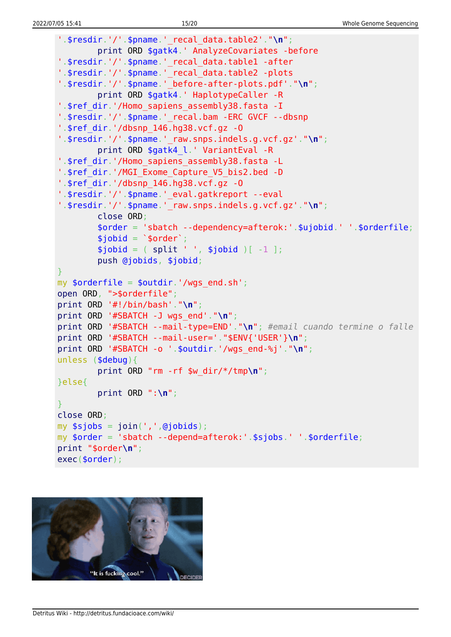```
'.$resdir.'/'.$pname.'_recal_data.table2'."\n";
         print ORD $gatk4.' AnalyzeCovariates -before
'.$resdir.'/'.$pname.'_recal_data.table1 -after
'.$resdir.'/'.$pname.' recal data.table2 -plots
'.$resdir.'/'.$pname.'_before-after-plots.pdf'."\n";
         print ORD $gatk4.' HaplotypeCaller -R
'.$ref dir.'/Homo sapiens assembly38.fasta -I
'.$resdir.'/'.$pname.'_recal.bam -ERC GVCF --dbsnp
'.$ref_dir.'/dbsnp_146.hg38.vcf.gz -O
'.$resdir.'/'.$pname.'_raw.snps.indels.g.vcf.gz'."\n";
         print ORD $gatk4_l.' VariantEval -R
'.$ref_dir.'/Homo_sapiens_assembly38.fasta -L
'.$ref dir.'/MGI Exome Capture V5 bis2.bed -D
'.$ref_dir.'/dbsnp_146.hg38.vcf.gz -O
'.$resdir.'/'.$pname.'_eval.gatkreport --eval
'.$resdir.'/'.$pname.'_raw.snps.indels.g.vcf.gz'."\n";
         close ORD;
         $order = 'sbatch --dependency=afterok:'.$ujobid.' '.$orderfile;
        $iobi = 'sorder';split ' ', $jobid )[-1 ]; push @jobids, $jobid;
}
my \text{forderfile} = \text{south}', '/wgs end.sh';
open ORD, ">$orderfile";
print ORD '#!/bin/bash'."\n";
print ORD '#SBATCH -J wgs_end'."\n";
print ORD '#SBATCH --mail-type=END'."\n"; #email cuando termine o falle
print ORD '#SBATCH --mail-user='."$ENV{'USER'}\n";
print ORD '#SBATCH -o '.$outdir.'/wgs_end-%j'."\n";
unless ($debug){
         print ORD "rm -rf $w_dir/*/tmp\n";
}else{
         print ORD ":\n";
}
close ORD;
my join(','',@jobids);my $order = 'sbatch --depend=afterok:'.$sjobs.' '.$orderfile;
print "$order\n";
exec($order);
```
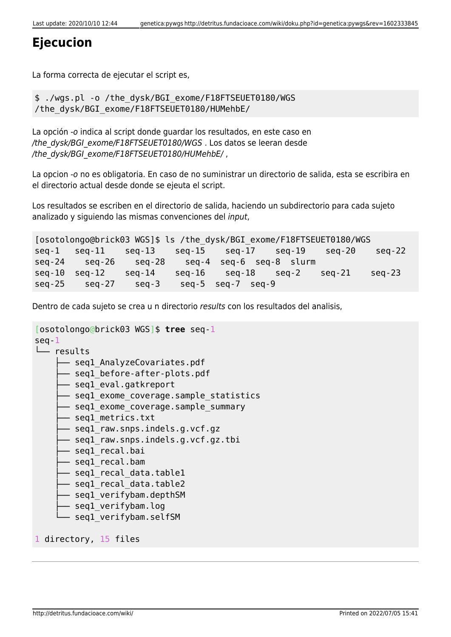## **Ejecucion**

La forma correcta de ejecutar el script es,

```
$ ./wgs.pl -o /the_dysk/BGI_exome/F18FTSEUET0180/WGS
/the_dysk/BGI_exome/F18FTSEUET0180/HUMehbE/
```
La opción -o indica al script donde guardar los resultados, en este caso en /the\_dysk/BGI\_exome/F18FTSEUET0180/WGS . Los datos se leeran desde /the\_dysk/BGI\_exome/F18FTSEUET0180/HUMehbE/ ,

La opcion -o no es obligatoria. En caso de no suministrar un directorio de salida, esta se escribira en el directorio actual desde donde se ejeuta el script.

Los resultados se escriben en el directorio de salida, haciendo un subdirectorio para cada sujeto analizado y siguiendo las mismas convenciones del input,

[osotolongo@brick03 WGS]\$ ls /the\_dysk/BGI\_exome/F18FTSEUET0180/WGS seq-1 seq-11 seq-13 seq-15 seq-17 seq-19 seq-20 seq-22 seq-24 seq-26 seq-28 seq-4 seq-6 seq-8 slurm seq-10 seq-12 seq-14 seq-16 seq-18 seq-2 seq-21 seq-23 seq-25 seq-27 seq-3 seq-5 seq-7 seq-9

Dentro de cada sujeto se crea u n directorio results con los resultados del analisis,

```
[osotolongo@brick03 WGS]$ tree seq-1
seq-1
└── results
     - segl AnalyzeCovariates.pdf
       - seql before-after-plots.pdf
       - seql eval.gatkreport
      - seql exome coverage.sample statistics
       - segl exome coverage.sample summary
        ├── seq1_metrics.txt
      - seql raw.snps.indels.g.vcf.gz
       - seql raw.snps.indels.g.vcf.gz.tbi
       - seql recal.bai
       ├── seq1_recal.bam
      - seql recal data.table1
       - seql recal data.table2
       - seql verifybam.depthSM
       - seql verifybam.log
       - segl verifybam.selfSM
1 directory, 15 files
```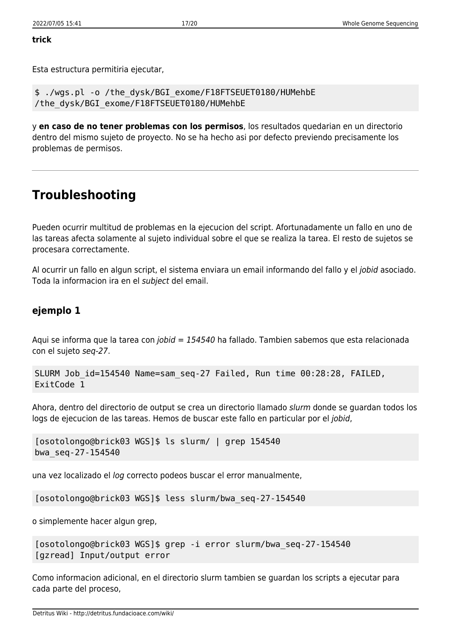#### **trick**

Esta estructura permitiria ejecutar,

\$ ./wgs.pl -o /the\_dysk/BGI\_exome/F18FTSEUET0180/HUMehbE /the\_dysk/BGI\_exome/F18FTSEUET0180/HUMehbE

y **en caso de no tener problemas con los permisos**, los resultados quedarian en un directorio dentro del mismo sujeto de proyecto. No se ha hecho asi por defecto previendo precisamente los problemas de permisos.

## **Troubleshooting**

Pueden ocurrir multitud de problemas en la ejecucion del script. Afortunadamente un fallo en uno de las tareas afecta solamente al sujeto individual sobre el que se realiza la tarea. El resto de sujetos se procesara correctamente.

Al ocurrir un fallo en algun script, el sistema enviara un email informando del fallo y el jobid asociado. Toda la informacion ira en el subject del email.

### **ejemplo 1**

Aqui se informa que la tarea con *jobid = 154540* ha fallado. Tambien sabemos que esta relacionada con el sujeto seq-27.

```
SLURM Job_id=154540 Name=sam_seq-27 Failed, Run time 00:28:28, FAILED,
ExitCode 1
```
Ahora, dentro del directorio de output se crea un directorio llamado slurm donde se guardan todos los logs de ejecucion de las tareas. Hemos de buscar este fallo en particular por el jobid,

```
[osotolongo@brick03 WGS]$ ls slurm/ | grep 154540
bwa_seq-27-154540
```
una vez localizado el log correcto podeos buscar el error manualmente,

[osotolongo@brick03 WGS]\$ less slurm/bwa\_seq-27-154540

o simplemente hacer algun grep,

```
[osotolongo@brick03 WGS]$ grep -i error slurm/bwa_seq-27-154540
[gzread] Input/output error
```
Como informacion adicional, en el directorio slurm tambien se guardan los scripts a ejecutar para cada parte del proceso,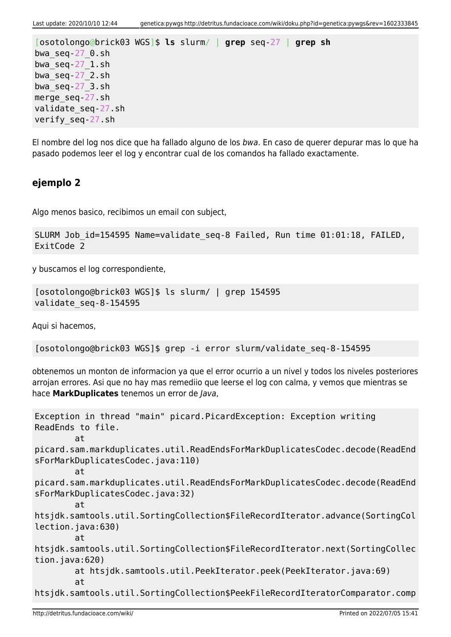```
[osotolongo@brick03 WGS]$ ls slurm/ | grep seq-27 | grep sh
bwa_seq-27_0.sh
bwaseq-27 1.sh
bwa_seq-27_2.sh
bwa_seq-27_3.sh
merge_seq-27.sh
validate_seq-27.sh
verify_seq-27.sh
```
El nombre del log nos dice que ha fallado alguno de los bwa. En caso de querer depurar mas lo que ha pasado podemos leer el log y encontrar cual de los comandos ha fallado exactamente.

### **ejemplo 2**

Algo menos basico, recibimos un email con subject,

```
SLURM Job_id=154595 Name=validate_seq-8 Failed, Run time 01:01:18, FAILED,
ExitCode 2
```
y buscamos el log correspondiente,

```
[osotolongo@brick03 WGS]$ ls slurm/ | grep 154595
validate_seq-8-154595
```
Aqui si hacemos,

```
[osotolongo@brick03 WGS]$ grep -i error slurm/validate_seq-8-154595
```
obtenemos un monton de informacion ya que el error ocurrio a un nivel y todos los niveles posteriores arrojan errores. Asi que no hay mas remediio que leerse el log con calma, y vemos que mientras se hace **MarkDuplicates** tenemos un error de Java,

```
Exception in thread "main" picard.PicardException: Exception writing
ReadEnds to file.
        \mathbf{a}picard.sam.markduplicates.util.ReadEndsForMarkDuplicatesCodec.decode(ReadEnd
sForMarkDuplicatesCodec.java:110)
         at
picard.sam.markduplicates.util.ReadEndsForMarkDuplicatesCodec.decode(ReadEnd
sForMarkDuplicatesCodec.java:32)
         at
htsjdk.samtools.util.SortingCollection$FileRecordIterator.advance(SortingCol
lection.java:630)
         at
htsjdk.samtools.util.SortingCollection$FileRecordIterator.next(SortingCollec
tion.java:620)
         at htsjdk.samtools.util.PeekIterator.peek(PeekIterator.java:69)
         at
htsjdk.samtools.util.SortingCollection$PeekFileRecordIteratorComparator.comp
```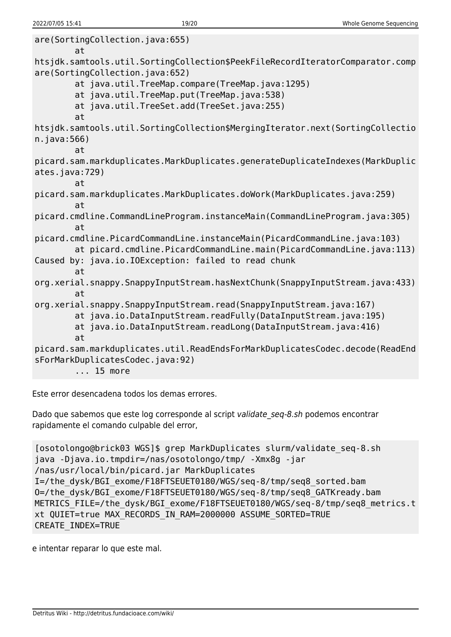```
are(SortingCollection.java:655)
         at
htsjdk.samtools.util.SortingCollection$PeekFileRecordIteratorComparator.comp
are(SortingCollection.java:652)
         at java.util.TreeMap.compare(TreeMap.java:1295)
         at java.util.TreeMap.put(TreeMap.java:538)
         at java.util.TreeSet.add(TreeSet.java:255)
         at
htsjdk.samtools.util.SortingCollection$MergingIterator.next(SortingCollectio
n.java:566)
         at
picard.sam.markduplicates.MarkDuplicates.generateDuplicateIndexes(MarkDuplic
ates.java:729)
         at
picard.sam.markduplicates.MarkDuplicates.doWork(MarkDuplicates.java:259)
         at
picard.cmdline.CommandLineProgram.instanceMain(CommandLineProgram.java:305)
         at
picard.cmdline.PicardCommandLine.instanceMain(PicardCommandLine.java:103)
         at picard.cmdline.PicardCommandLine.main(PicardCommandLine.java:113)
Caused by: java.io.IOException: failed to read chunk
         at
org.xerial.snappy.SnappyInputStream.hasNextChunk(SnappyInputStream.java:433)
         at
org.xerial.snappy.SnappyInputStream.read(SnappyInputStream.java:167)
         at java.io.DataInputStream.readFully(DataInputStream.java:195)
         at java.io.DataInputStream.readLong(DataInputStream.java:416)
         at
picard.sam.markduplicates.util.ReadEndsForMarkDuplicatesCodec.decode(ReadEnd
sForMarkDuplicatesCodec.java:92)
         ... 15 more
```
Este error desencadena todos los demas errores.

Dado que sabemos que este log corresponde al script validate seq-8.sh podemos encontrar rapidamente el comando culpable del error,

```
[osotolongo@brick03 WGS]$ grep MarkDuplicates slurm/validate_seq-8.sh
java -Djava.io.tmpdir=/nas/osotolongo/tmp/ -Xmx8g -jar
/nas/usr/local/bin/picard.jar MarkDuplicates
I=/the_dysk/BGI_exome/F18FTSEUET0180/WGS/seq-8/tmp/seq8_sorted.bam
O=/the_dysk/BGI_exome/F18FTSEUET0180/WGS/seq-8/tmp/seq8_GATKready.bam
METRICS FILE=/the dysk/BGI exome/F18FTSEUET0180/WGS/seq-8/tmp/seq8 metrics.t
xt QUIET=true MAX_RECORDS_IN_RAM=2000000 ASSUME_SORTED=TRUE
CREATE_INDEX=TRUE
```
e intentar reparar lo que este mal.